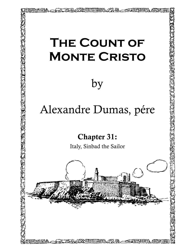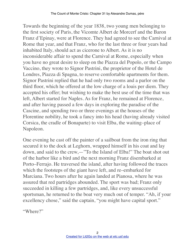Towards the beginning of the year 1838, two young men belonging to the first society of Paris, the Vicomte Albert de Morcerf and the Baron Franz d'Epinay, were at Florence. They had agreed to see the Carnival at Rome that year, and that Franz, who for the last three or four years had inhabited Italy, should act as cicerone to Albert. As it is no inconsiderable affair to spend the Carnival at Rome, especially when you have no great desire to sleep on the Piazza del Popolo, or the Campo Vaccino, they wrote to Signor Pastrini, the proprietor of the Hotel de Londres, Piazza di Spagna, to reserve comfortable apartments for them. Signor Pastrini replied that he had only two rooms and a parlor on the third floor, which he offered at the low charge of a louis per diem. They accepted his offer; but wishing to make the best use of the time that was left, Albert started for Naples. As for Franz, he remained at Florence, and after having passed a few days in exploring the paradise of the Cascine, and spending two or three evenings at the houses of the Florentine nobility, he took a fancy into his head (having already visited Corsica, the cradle of Bonaparte) to visit Elba, the waiting–place of Napoleon.

One evening he cast off the painter of a sailboat from the iron ring that secured it to the dock at Leghorn, wrapped himself in his coat and lay down, and said to the crew,—"To the Island of Elba!" The boat shot out of the harbor like a bird and the next morning Franz disembarked at Porto–Ferrajo. He traversed the island, after having followed the traces which the footsteps of the giant have left, and re–embarked for Marciana. Two hours after he again landed at Pianosa, where he was assured that red partridges abounded. The sport was bad; Franz only succeeded in killing a few partridges, and, like every unsuccessful sportsman, he returned to the boat very much out of temper. "Ah, if your excellency chose," said the captain, "you might have capital sport."

"Where?"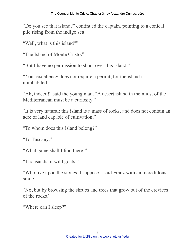"Do you see that island?" continued the captain, pointing to a conical pile rising from the indigo sea.

"Well, what is this island?"

"The Island of Monte Cristo."

"But I have no permission to shoot over this island."

"Your excellency does not require a permit, for the island is uninhabited"

"Ah, indeed!" said the young man. "A desert island in the midst of the Mediterranean must be a curiosity."

"It is very natural; this island is a mass of rocks, and does not contain an acre of land capable of cultivation."

"To whom does this island belong?"

"To Tuscany."

"What game shall I find there!"

"Thousands of wild goats."

"Who live upon the stones, I suppose," said Franz with an incredulous smile.

"No, but by browsing the shrubs and trees that grow out of the crevices of the rocks."

```
"Where can I sleep?"
```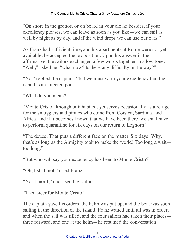"On shore in the grottos, or on board in your cloak; besides, if your excellency pleases, we can leave as soon as you like—we can sail as well by night as by day, and if the wind drops we can use our oars."

As Franz had sufficient time, and his apartments at Rome were not yet available, he accepted the proposition. Upon his answer in the affirmative, the sailors exchanged a few words together in a low tone. "Well," asked he, "what now? Is there any difficulty in the way?"

"No." replied the captain, "but we must warn your excellency that the island is an infected port."

"What do you mean?"

"Monte Cristo although uninhabited, yet serves occasionally as a refuge for the smugglers and pirates who come from Corsica, Sardinia, and Africa, and if it becomes known that we have been there, we shall have to perform quarantine for six days on our return to Leghorn."

"The deuce! That puts a different face on the matter. Six days! Why, that's as long as the Almighty took to make the world! Too long a wait too long."

"But who will say your excellency has been to Monte Cristo?"

"Oh, I shall not," cried Franz.

"Nor I, nor I," chorused the sailors.

"Then steer for Monte Cristo."

The captain gave his orders, the helm was put up, and the boat was soon sailing in the direction of the island. Franz waited until all was in order, and when the sail was filled, and the four sailors had taken their places three forward, and one at the helm—he resumed the conversation.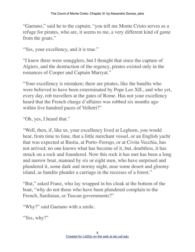"Gaetano," said he to the captain, "you tell me Monte Cristo serves as a refuge for pirates, who are, it seems to me, a very different kind of game from the goats."

"Yes, your excellency, and it is true."

"I knew there were smugglers, but I thought that since the capture of Algiers, and the destruction of the regency, pirates existed only in the romances of Cooper and Captain Marryat."

"Your excellency is mistaken; there are pirates, like the bandits who were believed to have been exterminated by Pope Leo XII., and who yet, every day, rob travellers at the gates of Rome. Has not your excellency heard that the French charge d'affaires was robbed six months ago within five hundred paces of Velletri?"

"Oh, yes, I heard that."

"Well, then, if, like us, your excellency lived at Leghorn, you would hear, from time to time, that a little merchant vessel, or an English yacht that was expected at Bastia, at Porto–Ferrajo, or at Civita Vecchia, has not arrived; no one knows what has become of it, but, doubtless, it has struck on a rock and foundered. Now this rock it has met has been a long and narrow boat, manned by six or eight men, who have surprised and plundered it, some dark and stormy night, near some desert and gloomy island, as bandits plunder a carriage in the recesses of a forest."

"But," asked Franz, who lay wrapped in his cloak at the bottom of the boat, "why do not those who have been plundered complain to the French, Sardinian, or Tuscan governments?"

"Why?" said Gaetano with a smile.

"Yes, why?"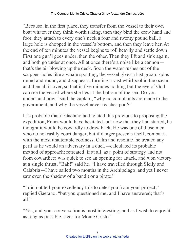"Because, in the first place, they transfer from the vessel to their own boat whatever they think worth taking, then they bind the crew hand and foot, they attach to every one's neck a four and twenty pound ball, a large hole is chopped in the vessel's bottom, and then they leave her. At the end of ten minutes the vessel begins to roll heavily and settle down. First one gun'l goes under, then the other. Then they lift and sink again, and both go under at once. All at once there's a noise like a cannon that's the air blowing up the deck. Soon the water rushes out of the scupper–holes like a whale spouting, the vessel gives a last groan, spins round and round, and disappears, forming a vast whirlpool in the ocean, and then all is over, so that in five minutes nothing but the eye of God can see the vessel where she lies at the bottom of the sea. Do you understand now," said the captain, "why no complaints are made to the government, and why the vessel never reaches port?"

It is probable that if Gaetano had related this previous to proposing the expedition, Franz would have hesitated, but now that they had started, he thought it would be cowardly to draw back. He was one of those men who do not rashly court danger, but if danger presents itself, combat it with the most unalterable coolness. Calm and resolute, he treated any peril as he would an adversary in a duel,—calculated its probable method of approach; retreated, if at all, as a point of strategy and not from cowardice; was quick to see an opening for attack, and won victory at a single thrust. "Bah!" said he, "I have travelled through Sicily and Calabria—I have sailed two months in the Archipelago, and yet I never saw even the shadow of a bandit or a pirate."

"I did not tell your excellency this to deter you from your project," replied Gaetano, "but you questioned me, and I have answered; that's all."

"Yes, and your conversation is most interesting; and as I wish to enjoy it as long as possible, steer for Monte Cristo."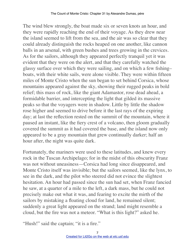The wind blew strongly, the boat made six or seven knots an hour, and they were rapidly reaching the end of their voyage. As they drew near the island seemed to lift from the sea, and the air was so clear that they could already distinguish the rocks heaped on one another, like cannon balls in an arsenal, with green bushes and trees growing in the crevices. As for the sailors, although they appeared perfectly tranquil yet it was evident that they were on the alert, and that they carefully watched the glassy surface over which they were sailing, and on which a few fishing– boats, with their white sails, were alone visible. They were within fifteen miles of Monte Cristo when the sun began to set behind Corsica, whose mountains appeared against the sky, showing their rugged peaks in bold relief; this mass of rock, like the giant Adamastor, rose dead ahead, a formidable barrier, and intercepting the light that gilded its massive peaks so that the voyagers were in shadow. Little by little the shadow rose higher and seemed to drive before it the last rays of the expiring day; at last the reflection rested on the summit of the mountain, where it paused an instant, like the fiery crest of a volcano, then gloom gradually covered the summit as it had covered the base, and the island now only appeared to be a gray mountain that grew continually darker; half an hour after, the night was quite dark.

Fortunately, the mariners were used to these latitudes, and knew every rock in the Tuscan Archipelago; for in the midst of this obscurity Franz was not without uneasiness—Corsica had long since disappeared, and Monte Cristo itself was invisible; but the sailors seemed, like the lynx, to see in the dark, and the pilot who steered did not evince the slightest hesitation. An hour had passed since the sun had set, when Franz fancied he saw, at a quarter of a mile to the left, a dark mass, but he could not precisely make out what it was, and fearing to excite the mirth of the sailors by mistaking a floating cloud for land, he remained silent; suddenly a great light appeared on the strand; land might resemble a cloud, but the fire was not a meteor. "What is this light?" asked he.

"Hush!" said the captain; "it is a fire."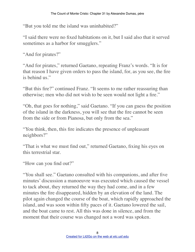"But you told me the island was uninhabited?"

"I said there were no fixed habitations on it, but I said also that it served sometimes as a harbor for smugglers."

"And for pirates?"

"And for pirates," returned Gaetano, repeating Franz's words. "It is for that reason I have given orders to pass the island, for, as you see, the fire is behind us."

"But this fire?" continued Franz. "It seems to me rather reassuring than otherwise; men who did not wish to be seen would not light a fire."

"Oh, that goes for nothing," said Gaetano. "If you can guess the position of the island in the darkness, you will see that the fire cannot be seen from the side or from Pianosa, but only from the sea."

"You think, then, this fire indicates the presence of unpleasant neighbors?"

"That is what we must find out," returned Gaetano, fixing his eyes on this terrestrial star.

"How can you find out?"

"You shall see." Gaetano consulted with his companions, and after five minutes' discussion a manoeuvre was executed which caused the vessel to tack about, they returned the way they had come, and in a few minutes the fire disappeared, hidden by an elevation of the land. The pilot again changed the course of the boat, which rapidly approached the island, and was soon within fifty paces of it. Gaetano lowered the sail, and the boat came to rest. All this was done in silence, and from the moment that their course was changed not a word was spoken.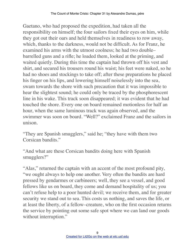Gaetano, who had proposed the expedition, had taken all the responsibility on himself; the four sailors fixed their eyes on him, while they got out their oars and held themselves in readiness to row away, which, thanks to the darkness, would not be difficult. As for Franz, he examined his arms with the utmost coolness; he had two double– barrelled guns and a rifle; he loaded them, looked at the priming, and waited quietly. During this time the captain had thrown off his vest and shirt, and secured his trousers round his waist; his feet were naked, so he had no shoes and stockings to take off; after these preparations he placed his finger on his lips, and lowering himself noiselessly into the sea, swam towards the shore with such precaution that it was impossible to hear the slightest sound; he could only be traced by the phosphorescent line in his wake. This track soon disappeared; it was evident that he had touched the shore. Every one on board remained motionless for half an hour, when the same luminous track was again observed, and the swimmer was soon on board. "Well?" exclaimed Franz and the sailors in unison.

"They are Spanish smugglers," said he; "they have with them two Corsican bandits."

"And what are these Corsican bandits doing here with Spanish smugglers?"

"Alas," returned the captain with an accent of the most profound pity, "we ought always to help one another. Very often the bandits are hard pressed by gendarmes or carbineers; well, they see a vessel, and good fellows like us on board, they come and demand hospitality of us; you can't refuse help to a poor hunted devil; we receive them, and for greater security we stand out to sea. This costs us nothing, and saves the life, or at least the liberty, of a fellow–creature, who on the first occasion returns the service by pointing out some safe spot where we can land our goods without interruption."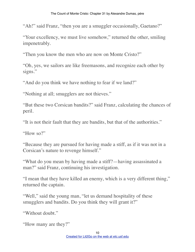"Ah!" said Franz, "then you are a smuggler occasionally, Gaetano?"

"Your excellency, we must live somehow," returned the other, smiling impenetrably.

"Then you know the men who are now on Monte Cristo?"

"Oh, yes, we sailors are like freemasons, and recognize each other by signs."

"And do you think we have nothing to fear if we land?"

"Nothing at all; smugglers are not thieves."

"But these two Corsican bandits?" said Franz, calculating the chances of peril.

"It is not their fault that they are bandits, but that of the authorities."

"How so?"

"Because they are pursued for having made a stiff, as if it was not in a Corsican's nature to revenge himself."

"What do you mean by having made a stiff?—having assassinated a man?" said Franz, continuing his investigation.

"I mean that they have killed an enemy, which is a very different thing," returned the captain.

"Well," said the young man, "let us demand hospitality of these smugglers and bandits. Do you think they will grant it?"

"Without doubt."

```
"How many are they?"
```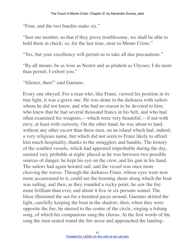"Four, and the two bandits make six."

"Just our number, so that if they prove troublesome, we shall be able to hold them in check; so, for the last time, steer to Monte Cristo."

"Yes, but your excellency will permit us to take all due precautions."

"By all means, be as wise as Nestor and as prudent as Ulysses; I do more than permit, I exhort you."

"Silence, then!" said Gaetano.

Every one obeyed. For a man who, like Franz, viewed his position in its true light, it was a grave one. He was alone in the darkness with sailors whom he did not know, and who had no reason to be devoted to him; who knew that he had several thousand francs in his belt, and who had often examined his weapons,—which were very beautiful,—if not with envy, at least with curiosity. On the other hand, he was about to land, without any other escort than these men, on an island which had, indeed, a very religious name, but which did not seem to Franz likely to afford him much hospitality, thanks to the smugglers and bandits. The history of the scuttled vessels, which had appeared improbable during the day, seemed very probable at night; placed as he was between two possible sources of danger, he kept his eye on the crew, and his gun in his hand. The sailors had again hoisted sail, and the vessel was once more cleaving the waves. Through the darkness Franz, whose eyes were now more accustomed to it, could see the looming shore along which the boat was sailing, and then, as they rounded a rocky point, he saw the fire more brilliant than ever, and about it five or six persons seated. The blaze illumined the sea for a hundred paces around. Gaetano skirted the light, carefully keeping the boat in the shadow; then, when they were opposite the fire, he steered to the centre of the circle, singing a fishing song, of which his companions sung the chorus. At the first words of the song the men seated round the fire arose and approached the landing–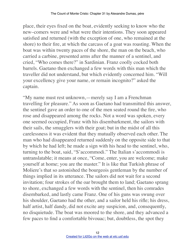place, their eyes fixed on the boat, evidently seeking to know who the new–comers were and what were their intentions. They soon appeared satisfied and returned (with the exception of one, who remained at the shore) to their fire, at which the carcass of a goat was roasting. When the boat was within twenty paces of the shore, the man on the beach, who carried a carbine, presented arms after the manner of a sentinel, and cried, "Who comes there?" in Sardinian. Franz coolly cocked both barrels. Gaetano then exchanged a few words with this man which the traveller did not understand, but which evidently concerned him. "Will your excellency give your name, or remain incognito?" asked the captain.

"My name must rest unknown,—merely say I am a Frenchman travelling for pleasure." As soon as Gaetano had transmitted this answer, the sentinel gave an order to one of the men seated round the fire, who rose and disappeared among the rocks. Not a word was spoken, every one seemed occupied, Franz with his disembarkment, the sailors with their sails, the smugglers with their goat; but in the midst of all this carelessness it was evident that they mutually observed each other. The man who had disappeared returned suddenly on the opposite side to that by which he had left; he made a sign with his head to the sentinel, who, turning to the boat, said, "S'accommodi." The Italian s'accommodi is untranslatable; it means at once, "Come, enter, you are welcome; make yourself at home; you are the master." It is like that Turkish phrase of Moliere's that so astonished the bourgeois gentleman by the number of things implied in its utterance. The sailors did not wait for a second invitation; four strokes of the oar brought them to land; Gaetano sprang to shore, exchanged a few words with the sentinel, then his comrades disembarked, and lastly came Franz. One of his guns was swung over his shoulder, Gaetano had the other, and a sailor held his rifle; his dress, half artist, half dandy, did not excite any suspicion, and, consequently, no disquietude. The boat was moored to the shore, and they advanced a few paces to find a comfortable bivouac; but, doubtless, the spot they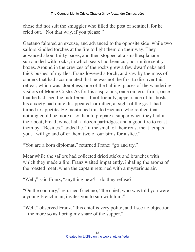chose did not suit the smuggler who filled the post of sentinel, for he cried out, "Not that way, if you please."

Gaetano faltered an excuse, and advanced to the opposite side, while two sailors kindled torches at the fire to light them on their way. They advanced about thirty paces, and then stopped at a small esplanade surrounded with rocks, in which seats had been cut, not unlike sentry– boxes. Around in the crevices of the rocks grew a few dwarf oaks and thick bushes of myrtles. Franz lowered a torch, and saw by the mass of cinders that had accumulated that he was not the first to discover this retreat, which was, doubtless, one of the halting–places of the wandering visitors of Monte Cristo. As for his suspicions, once on terra firma, once that he had seen the indifferent, if not friendly, appearance of his hosts, his anxiety had quite disappeared, or rather, at sight of the goat, had turned to appetite. He mentioned this to Gaetano, who replied that nothing could be more easy than to prepare a supper when they had in their boat, bread, wine, half a dozen partridges, and a good fire to roast them by. "Besides," added he, "if the smell of their roast meat tempts you, I will go and offer them two of our birds for a slice."

"You are a born diplomat," returned Franz; "go and try."

Meanwhile the sailors had collected dried sticks and branches with which they made a fire. Franz waited impatiently, inhaling the aroma of the roasted meat, when the captain returned with a mysterious air.

"Well," said Franz, "anything new?—do they refuse?"

"On the contrary," returned Gaetano, "the chief, who was told you were a young Frenchman, invites you to sup with him."

"Well," observed Franz, "this chief is very polite, and I see no objection —the more so as I bring my share of the supper."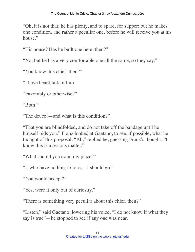"Oh, it is not that; he has plenty, and to spare, for supper; but he makes one condition, and rather a peculiar one, before he will receive you at his house."

"His house? Has he built one here, then?"

"No; but he has a very comfortable one all the same, so they say."

"You know this chief, then?"

"I have heard talk of him."

"Favorably or otherwise?"

"Both."

"The deuce!—and what is this condition?"

"That you are blindfolded, and do not take off the bandage until he himself bids you." Franz looked at Gaetano, to see, if possible, what he thought of this proposal. "Ah," replied he, guessing Franz's thought, "I know this is a serious matter."

"What should you do in my place?"

"I, who have nothing to lose,—I should go."

"You would accept?"

"Yes, were it only out of curiosity."

"There is something very peculiar about this chief, then?"

"Listen," said Gaetano, lowering his voice, "I do not know if what they say is true"—he stopped to see if any one was near.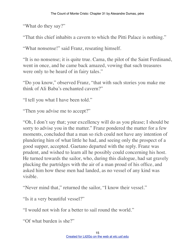"What do they say?"

"That this chief inhabits a cavern to which the Pitti Palace is nothing."

"What nonsense!" said Franz, reseating himself.

"It is no nonsense; it is quite true. Cama, the pilot of the Saint Ferdinand, went in once, and he came back amazed, vowing that such treasures were only to be heard of in fairy tales."

"Do you know," observed Franz, "that with such stories you make me think of Ali Baba's enchanted cavern?"

"I tell you what I have been told."

"Then you advise me to accept?"

"Oh, I don't say that; your excellency will do as you please; I should be sorry to advise you in the matter." Franz pondered the matter for a few moments, concluded that a man so rich could not have any intention of plundering him of what little he had, and seeing only the prospect of a good supper, accepted. Gaetano departed with the reply. Franz was prudent, and wished to learn all he possibly could concerning his host. He turned towards the sailor, who, during this dialogue, had sat gravely plucking the partridges with the air of a man proud of his office, and asked him how these men had landed, as no vessel of any kind was visible.

"Never mind that," returned the sailor, "I know their vessel."

"Is it a very beautiful vessel?"

"I would not wish for a better to sail round the world."

"Of what burden is she?"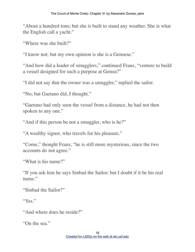"About a hundred tons; but she is built to stand any weather. She is what the English call a yacht."

"Where was she built?"

"I know not; but my own opinion is she is a Genoese."

"And how did a leader of smugglers," continued Franz, "venture to build a vessel designed for such a purpose at Genoa?"

"I did not say that the owner was a smuggler," replied the sailor.

"No; but Gaetano did, I thought."

"Gaetano had only seen the vessel from a distance, he had not then spoken to any one."

"And if this person be not a smuggler, who is he?"

"A wealthy signor, who travels for his pleasure."

"Come," thought Franz, "he is still more mysterious, since the two accounts do not agree."

"What is his name?"

"If you ask him he says Sinbad the Sailor; but I doubt if it be his real name."

"Sinbad the Sailor?"

"Yes."

"And where does he reside?"

"On the sea."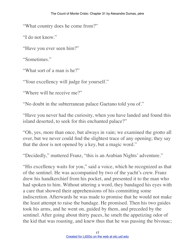"What country does he come from?"

"I do not know."

"Have you ever seen him?"

"Sometimes."

"What sort of a man is he?"

"Your excellency will judge for yourself."

"Where will he receive me?"

"No doubt in the subterranean palace Gaetano told you of."

"Have you never had the curiosity, when you have landed and found this island deserted, to seek for this enchanted palace?"

"Oh, yes, more than once, but always in vain; we examined the grotto all over, but we never could find the slightest trace of any opening; they say that the door is not opened by a key, but a magic word."

"Decidedly," muttered Franz, "this is an Arabian Nights' adventure."

"His excellency waits for you," said a voice, which he recognized as that of the sentinel. He was accompanied by two of the yacht's crew. Franz drew his handkerchief from his pocket, and presented it to the man who had spoken to him. Without uttering a word, they bandaged his eyes with a care that showed their apprehensions of his committing some indiscretion. Afterwards he was made to promise that he would not make the least attempt to raise the bandage. He promised. Then his two guides took his arms, and he went on, guided by them, and preceded by the sentinel. After going about thirty paces, he smelt the appetizing odor of the kid that was roasting, and knew thus that he was passing the bivouac;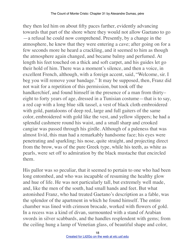they then led him on about fifty paces farther, evidently advancing towards that part of the shore where they would not allow Gaetano to go —a refusal he could now comprehend. Presently, by a change in the atmosphere, he knew that they were entering a cave; after going on for a few seconds more he heard a crackling, and it seemed to him as though the atmosphere again changed, and became balmy and perfumed. At length his feet touched on a thick and soft carpet, and his guides let go their hold of him. There was a moment's silence, and then a voice, in excellent French, although, with a foreign accent, said, "Welcome, sir. I beg you will remove your bandage." It may be supposed, then, Franz did not wait for a repetition of this permission, but took off the handkerchief, and found himself in the presence of a man from thirtyeight to forty years of age, dressed in a Tunisian costume—that is to say, a red cap with a long blue silk tassel, a vest of black cloth embroidered with gold, pantaloons of deep red, large and full gaiters of the same color, embroidered with gold like the vest, and yellow slippers; he had a splendid cashmere round his waist, and a small sharp and crooked cangiar was passed through his girdle. Although of a paleness that was almost livid, this man had a remarkably handsome face; his eyes were penetrating and sparkling; his nose, quite straight, and projecting direct from the brow, was of the pure Greek type, while his teeth, as white as pearls, were set off to admiration by the black mustache that encircled them.

His pallor was so peculiar, that it seemed to pertain to one who had been long entombed, and who was incapable of resuming the healthy glow and hue of life. He was not particularly tall, but extremely well made, and, like the men of the south, had small hands and feet. But what astonished Franz, who had treated Gaetano's description as a fable, was the splendor of the apartment in which he found himself. The entire chamber was lined with crimson brocade, worked with flowers of gold. In a recess was a kind of divan, surmounted with a stand of Arabian swords in silver scabbards, and the handles resplendent with gems; from the ceiling hung a lamp of Venetian glass, of beautiful shape and color,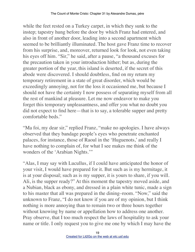while the feet rested on a Turkey carpet, in which they sunk to the instep; tapestry hung before the door by which Franz had entered, and also in front of another door, leading into a second apartment which seemed to be brilliantly illuminated. The host gave Franz time to recover from his surprise, and, moreover, returned look for look, not even taking his eyes off him. "Sir," he said, after a pause, "a thousand excuses for the precaution taken in your introduction hither; but as, during the greater portion of the year, this island is deserted, if the secret of this abode were discovered. I should doubtless, find on my return my temporary retirement in a state of great disorder, which would be exceedingly annoying, not for the loss it occasioned me, but because I should not have the certainty I now possess of separating myself from all the rest of mankind at pleasure. Let me now endeavor to make you forget this temporary unpleasantness, and offer you what no doubt you did not expect to find here—that is to say, a tolerable supper and pretty comfortable beds."

"Ma foi, my dear sir," replied Franz, "make no apologies. I have always observed that they bandage people's eyes who penetrate enchanted palaces, for instance, those of Raoul in the 'Huguenots,' and really I have nothing to complain of, for what I see makes me think of the wonders of the 'Arabian Nights.'"

"Alas, I may say with Lucullus, if I could have anticipated the honor of your visit, I would have prepared for it. But such as is my hermitage, it is at your disposal; such as is my supper, it is yours to share, if you will. Ali, is the supper ready?" At this moment the tapestry moved aside, and a Nubian, black as ebony, and dressed in a plain white tunic, made a sign to his master that all was prepared in the dining–room. "Now," said the unknown to Franz, "I do not know if you are of my opinion, but I think nothing is more annoying than to remain two or three hours together without knowing by name or appellation how to address one another. Pray observe, that I too much respect the laws of hospitality to ask your name or title. I only request you to give me one by which I may have the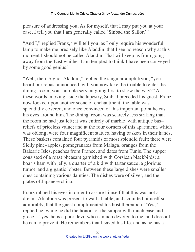pleasure of addressing you. As for myself, that I may put you at your ease, I tell you that I am generally called 'Sinbad the Sailor.'"

"And I," replied Franz, "will tell you, as I only require his wonderful lamp to make me precisely like Aladdin, that I see no reason why at this moment I should not be called Aladdin. That will keep us from going away from the East whither I am tempted to think I have been conveyed by some good genius."

"Well, then, Signor Aladdin," replied the singular amphitryon, "you heard our repast announced, will you now take the trouble to enter the dining–room, your humble servant going first to show the way?" At these words, moving aside the tapestry, Sinbad preceded his guest. Franz now looked upon another scene of enchantment; the table was splendidly covered, and once convinced of this important point he cast his eyes around him. The dining–room was scarcely less striking than the room he had just left; it was entirely of marble, with antique bas– reliefs of priceless value; and at the four corners of this apartment, which was oblong, were four magnificent statues, having baskets in their hands. These baskets contained four pyramids of most splendid fruit; there were Sicily pine–apples, pomegranates from Malaga, oranges from the Balearic Isles, peaches from France, and dates from Tunis. The supper consisted of a roast pheasant garnished with Corsican blackbirds; a boar's ham with jelly, a quarter of a kid with tartar sauce, a glorious turbot, and a gigantic lobster. Between these large dishes were smaller ones containing various dainties. The dishes were of silver, and the plates of Japanese china.

Franz rubbed his eyes in order to assure himself that this was not a dream. Ali alone was present to wait at table, and acquitted himself so admirably, that the guest complimented his host thereupon. "Yes," replied he, while he did the honors of the supper with much ease and grace—"yes, he is a poor devil who is much devoted to me, and does all he can to prove it. He remembers that I saved his life, and as he has a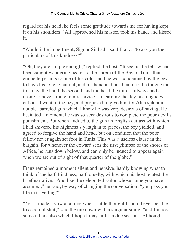regard for his head, he feels some gratitude towards me for having kept it on his shoulders." Ali approached his master, took his hand, and kissed it.

"Would it be impertinent, Signor Sinbad," said Franz, "to ask you the particulars of this kindness?"

"Oh, they are simple enough," replied the host. "It seems the fellow had been caught wandering nearer to the harem of the Bey of Tunis than etiquette permits to one of his color, and he was condemned by the bey to have his tongue cut out, and his hand and head cut off; the tongue the first day, the hand the second, and the head the third. I always had a desire to have a mute in my service, so learning the day his tongue was cut out, I went to the bey, and proposed to give him for Ali a splendid double–barreled gun which I knew he was very desirous of having. He hesitated a moment, he was so very desirous to complete the poor devil's punishment. But when I added to the gun an English cutlass with which I had shivered his highness's yataghan to pieces, the bey yielded, and agreed to forgive the hand and head, but on condition that the poor fellow never again set foot in Tunis. This was a useless clause in the bargain, for whenever the coward sees the first glimpse of the shores of Africa, he runs down below, and can only be induced to appear again when we are out of sight of that quarter of the globe."

Franz remained a moment silent and pensive, hardly knowing what to think of the half–kindness, half–cruelty, with which his host related the brief narrative. "And like the celebrated sailor whose name you have assumed," he said, by way of changing the conversation, "you pass your life in travelling?"

"Yes. I made a vow at a time when I little thought I should ever be able to accomplish it," said the unknown with a singular smile; "and I made some others also which I hope I may fulfil in due season." Although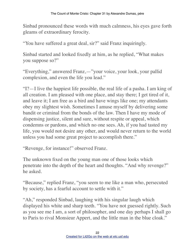Sinbad pronounced these words with much calmness, his eyes gave forth gleams of extraordinary ferocity.

"You have suffered a great deal, sir?" said Franz inquiringly.

Sinbad started and looked fixedly at him, as he replied, "What makes you suppose so?"

"Everything," answered Franz,—"your voice, your look, your pallid complexion, and even the life you lead."

"I?—I live the happiest life possible, the real life of a pasha. I am king of all creation. I am pleased with one place, and stay there; I get tired of it, and leave it; I am free as a bird and have wings like one; my attendants obey my slightest wish. Sometimes I amuse myself by delivering some bandit or criminal from the bonds of the law. Then I have my mode of dispensing justice, silent and sure, without respite or appeal, which condemns or pardons, and which no one sees. Ah, if you had tasted my life, you would not desire any other, and would never return to the world unless you had some great project to accomplish there."

"Revenge, for instance!" observed Franz.

The unknown fixed on the young man one of those looks which penetrate into the depth of the heart and thoughts. "And why revenge?" he asked.

"Because," replied Franz, "you seem to me like a man who, persecuted by society, has a fearful account to settle with it."

"Ah," responded Sinbad, laughing with his singular laugh which displayed his white and sharp teeth. "You have not guessed rightly. Such as you see me I am, a sort of philosopher, and one day perhaps I shall go to Paris to rival Monsieur Appert, and the little man in the blue cloak."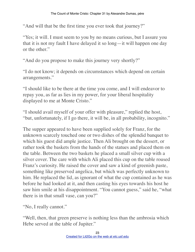"And will that be the first time you ever took that journey?"

"Yes; it will. I must seem to you by no means curious, but I assure you that it is not my fault I have delayed it so long—it will happen one day or the other."

"And do you propose to make this journey very shortly?"

"I do not know; it depends on circumstances which depend on certain arrangements."

"I should like to be there at the time you come, and I will endeavor to repay you, as far as lies in my power, for your liberal hospitality displayed to me at Monte Cristo."

"I should avail myself of your offer with pleasure," replied the host, "but, unfortunately, if I go there, it will be, in all probability, incognito."

The supper appeared to have been supplied solely for Franz, for the unknown scarcely touched one or two dishes of the splendid banquet to which his guest did ample justice. Then Ali brought on the dessert, or rather took the baskets from the hands of the statues and placed them on the table. Between the two baskets he placed a small silver cup with a silver cover. The care with which Ali placed this cup on the table roused Franz's curiosity. He raised the cover and saw a kind of greenish paste, something like preserved angelica, but which was perfectly unknown to him. He replaced the lid, as ignorant of what the cup contained as he was before he had looked at it, and then casting his eyes towards his host he saw him smile at his disappointment. "You cannot guess," said he, "what there is in that small vase, can you?"

"No, I really cannot."

"Well, then, that green preserve is nothing less than the ambrosia which Hebe served at the table of Jupiter."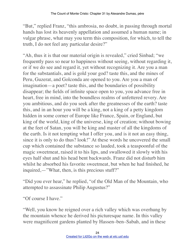"But," replied Franz, "this ambrosia, no doubt, in passing through mortal hands has lost its heavenly appellation and assumed a human name; in vulgar phrase, what may you term this composition, for which, to tell the truth, I do not feel any particular desire?"

"Ah, thus it is that our material origin is revealed," cried Sinbad; "we frequently pass so near to happiness without seeing, without regarding it, or if we do see and regard it, yet without recognizing it. Are you a man for the substantials, and is gold your god? taste this, and the mines of Peru, Guzerat, and Golconda are opened to you. Are you a man of imagination—a poet? taste this, and the boundaries of possibility disappear; the fields of infinite space open to you, you advance free in heart, free in mind, into the boundless realms of unfettered revery. Are you ambitious, and do you seek after the greatnesses of the earth? taste this, and in an hour you will be a king, not a king of a petty kingdom hidden in some corner of Europe like France, Spain, or England, but king of the world, king of the universe, king of creation; without bowing at the feet of Satan, you will be king and master of all the kingdoms of the earth. Is it not tempting what I offer you, and is it not an easy thing, since it is only to do thus? look!" At these words he uncovered the small cup which contained the substance so lauded, took a teaspoonful of the magic sweetmeat, raised it to his lips, and swallowed it slowly with his eyes half shut and his head bent backwards. Franz did not disturb him whilst he absorbed his favorite sweetmeat, but when he had finished, he inquired,—"What, then, is this precious stuff?"

"Did you ever hear," he replied, "of the Old Man of the Mountain, who attempted to assassinate Philip Augustus?"

"Of course I have."

"Well, you know he reigned over a rich valley which was overhung by the mountain whence he derived his picturesque name. In this valley were magnificent gardens planted by Hassen–ben–Sabah, and in these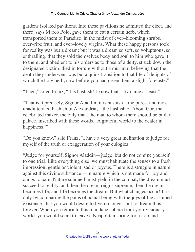gardens isolated pavilions. Into these pavilions he admitted the elect, and there, says Marco Polo, gave them to eat a certain herb, which transported them to Paradise, in the midst of ever–blooming shrubs, ever–ripe fruit, and ever–lovely virgins. What these happy persons took for reality was but a dream; but it was a dream so soft, so voluptuous, so enthralling, that they sold themselves body and soul to him who gave it to them, and obedient to his orders as to those of a deity, struck down the designated victim, died in torture without a murmur, believing that the death they underwent was but a quick transition to that life of delights of which the holy herb, now before you had given them a slight foretaste."

"Then," cried Franz, "it is hashish! I know that—by name at least."

"That is it precisely, Signor Aladdin; it is hashish—the purest and most unadulterated hashish of Alexandria,—the hashish of Abou–Gor, the celebrated maker, the only man, the man to whom there should be built a palace, inscribed with these words, 'A grateful world to the dealer in happiness."

"Do you know," said Franz, "I have a very great inclination to judge for myself of the truth or exaggeration of your eulogies."

"Judge for yourself, Signor Aladdin—judge, but do not confine yourself to one trial. Like everything else, we must habituate the senses to a fresh impression, gentle or violent, sad or joyous. There is a struggle in nature against this divine substance,—in nature which is not made for joy and clings to pain. Nature subdued must yield in the combat, the dream must succeed to reality, and then the dream reigns supreme, then the dream becomes life, and life becomes the dream. But what changes occur! It is only by comparing the pains of actual being with the joys of the assumed existence, that you would desire to live no longer, but to dream thus forever. When you return to this mundane sphere from your visionary world, you would seem to leave a Neapolitan spring for a Lapland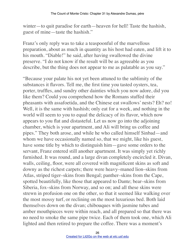winter—to quit paradise for earth—heaven for hell! Taste the hashish, guest of mine—taste the hashish."

Franz's only reply was to take a teaspoonful of the marvellous preparation, about as much in quantity as his host had eaten, and lift it to his mouth. "Diable!" he said, after having swallowed the divine preserve. "I do not know if the result will be as agreeable as you describe, but the thing does not appear to me as palatable as you say."

"Because your palate his not yet been attuned to the sublimity of the substances it flavors. Tell me, the first time you tasted oysters, tea, porter, truffles, and sundry other dainties which you now adore, did you like them? Could you comprehend how the Romans stuffed their pheasants with assafoetida, and the Chinese eat swallows' nests? Eh? no! Well, it is the same with hashish; only eat for a week, and nothing in the world will seem to you to equal the delicacy of its flavor, which now appears to you flat and distasteful. Let us now go into the adjoining chamber, which is your apartment, and Ali will bring us coffee and pipes." They both arose, and while he who called himself Sinbad—and whom we have occasionally named so, that we might, like his guest, have some title by which to distinguish him—gave some orders to the servant, Franz entered still another apartment. It was simply yet richly furnished. It was round, and a large divan completely encircled it. Divan, walls, ceiling, floor, were all covered with magnificent skins as soft and downy as the richest carpets; there were heavy–maned lion–skins from Atlas, striped tiger–skins from Bengal; panther–skins from the Cape, spotted beautifully, like those that appeared to Dante; bear–skins from Siberia, fox–skins from Norway, and so on; and all these skins were strewn in profusion one on the other, so that it seemed like walking over the most mossy turf, or reclining on the most luxurious bed. Both laid themselves down on the divan; chibouques with jasmine tubes and amber mouthpieces were within reach, and all prepared so that there was no need to smoke the same pipe twice. Each of them took one, which Ali lighted and then retired to prepare the coffee. There was a moment's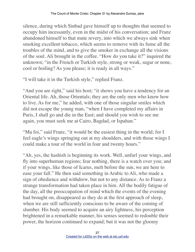silence, during which Sinbad gave himself up to thoughts that seemed to occupy him incessantly, even in the midst of his conversation; and Franz abandoned himself to that mute revery, into which we always sink when smoking excellent tobacco, which seems to remove with its fume all the troubles of the mind, and to give the smoker in exchange all the visions of the soul. Ali brought in the coffee. "How do you take it?" inquired the unknown; "in the French or Turkish style, strong or weak, sugar or none, cool or boiling? As you please; it is ready in all ways."

"I will take it in the Turkish style," replied Franz.

"And you are right," said his host; "it shows you have a tendency for an Oriental life. Ah, those Orientals; they are the only men who know how to live. As for me," he added, with one of those singular smiles which did not escape the young man, "when I have completed my affairs in Paris, I shall go and die in the East; and should you wish to see me again, you must seek me at Cairo, Bagdad, or Ispahan."

"Ma foi," said Franz, "it would be the easiest thing in the world; for I feel eagle's wings springing out at my shoulders, and with those wings I could make a tour of the world in four and twenty hours."

"Ah, yes, the hashish is beginning its work. Well, unfurl your wings, and fly into superhuman regions; fear nothing, there is a watch over you; and if your wings, like those of Icarus, melt before the sun, we are here to ease your fall." He then said something in Arabic to Ali, who made a sign of obedience and withdrew, but not to any distance. As to Franz a strange transformation had taken place in him. All the bodily fatigue of the day, all the preoccupation of mind which the events of the evening had brought on, disappeared as they do at the first approach of sleep, when we are still sufficiently conscious to be aware of the coming of slumber. His body seemed to acquire an airy lightness, his perception brightened in a remarkable manner, his senses seemed to redouble their power, the horizon continued to expand; but it was not the gloomy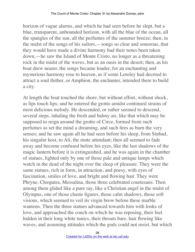horizon of vague alarms, and which he had seen before he slept, but a blue, transparent, unbounded horizon, with all the blue of the ocean, all the spangles of the sun, all the perfumes of the summer breeze; then, in the midst of the songs of his sailors,—songs so clear and sonorous, that they would have made a divine harmony had their notes been taken down,—he saw the Island of Monte Cristo, no longer as a threatening rock in the midst of the waves, but as an oasis in the desert; then, as his boat drew nearer, the songs became louder, for an enchanting and mysterious harmony rose to heaven, as if some Loreley had decreed to attract a soul thither, or Amphion, the enchanter, intended there to build a city.

At length the boat touched the shore, but without effort, without shock, as lips touch lips; and he entered the grotto amidst continued strains of most delicious melody. He descended, or rather seemed to descend, several steps, inhaling the fresh and balmy air, like that which may be supposed to reign around the grotto of Circe, formed from such perfumes as set the mind a dreaming, and such fires as burn the very senses; and he saw again all he had seen before his sleep, from Sinbad, his singular host, to Ali, the mute attendant; then all seemed to fade away and become confused before his eyes, like the last shadows of the magic lantern before it is extinguished, and he was again in the chamber of statues, lighted only by one of those pale and antique lamps which watch in the dead of the night over the sleep of pleasure. They were the same statues, rich in form, in attraction, and poesy, with eyes of fascination, smiles of love, and bright and flowing hair. They were Phryne, Cleopatra, Messalina, those three celebrated courtesans. Then among them glided like a pure ray, like a Christian angel in the midst of Olympus, one of those chaste figures, those calm shadows, those soft visions, which seemed to veil its virgin brow before these marble wantons. Then the three statues advanced towards him with looks of love, and approached the couch on which he was reposing, their feet hidden in their long white tunics, their throats bare, hair flowing like waves, and assuming attitudes which the gods could not resist, but which